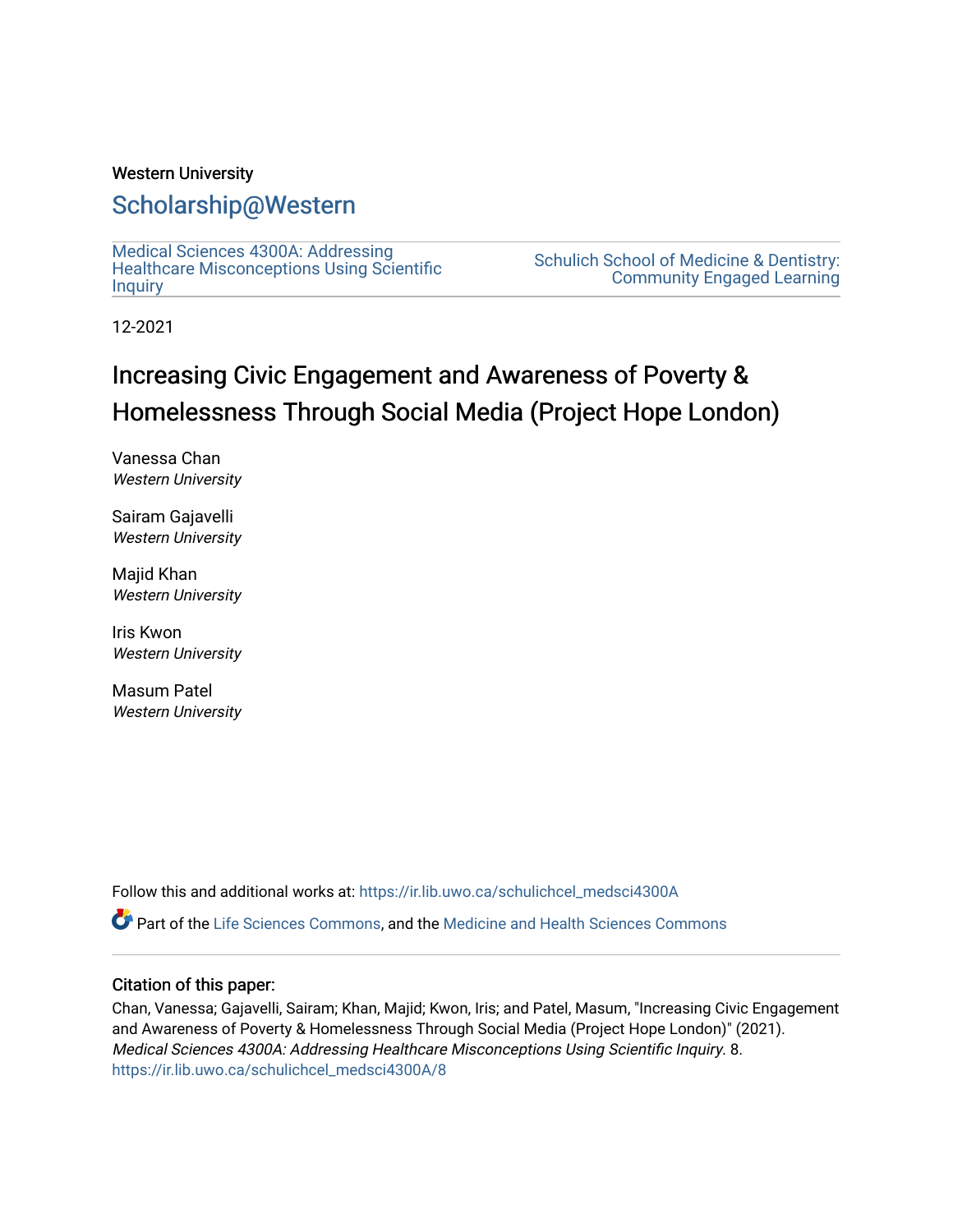## Western University

## [Scholarship@Western](https://ir.lib.uwo.ca/)

[Medical Sciences 4300A: Addressing](https://ir.lib.uwo.ca/schulichcel_medsci4300A)  [Healthcare Misconceptions Using Scientific](https://ir.lib.uwo.ca/schulichcel_medsci4300A) **[Inquiry](https://ir.lib.uwo.ca/schulichcel_medsci4300A)** 

[Schulich School of Medicine & Dentistry:](https://ir.lib.uwo.ca/schulichcel)  [Community Engaged Learning](https://ir.lib.uwo.ca/schulichcel) 

12-2021

## Increasing Civic Engagement and Awareness of Poverty & Homelessness Through Social Media (Project Hope London)

Vanessa Chan Western University

Sairam Gajavelli Western University

Majid Khan Western University

Iris Kwon Western University

Masum Patel Western University

Follow this and additional works at: [https://ir.lib.uwo.ca/schulichcel\\_medsci4300A](https://ir.lib.uwo.ca/schulichcel_medsci4300A?utm_source=ir.lib.uwo.ca%2Fschulichcel_medsci4300A%2F8&utm_medium=PDF&utm_campaign=PDFCoverPages)

Part of the [Life Sciences Commons,](http://network.bepress.com/hgg/discipline/1016?utm_source=ir.lib.uwo.ca%2Fschulichcel_medsci4300A%2F8&utm_medium=PDF&utm_campaign=PDFCoverPages) and the [Medicine and Health Sciences Commons](http://network.bepress.com/hgg/discipline/648?utm_source=ir.lib.uwo.ca%2Fschulichcel_medsci4300A%2F8&utm_medium=PDF&utm_campaign=PDFCoverPages)

### Citation of this paper:

Chan, Vanessa; Gajavelli, Sairam; Khan, Majid; Kwon, Iris; and Patel, Masum, "Increasing Civic Engagement and Awareness of Poverty & Homelessness Through Social Media (Project Hope London)" (2021). Medical Sciences 4300A: Addressing Healthcare Misconceptions Using Scientific Inquiry. 8. [https://ir.lib.uwo.ca/schulichcel\\_medsci4300A/8](https://ir.lib.uwo.ca/schulichcel_medsci4300A/8?utm_source=ir.lib.uwo.ca%2Fschulichcel_medsci4300A%2F8&utm_medium=PDF&utm_campaign=PDFCoverPages)